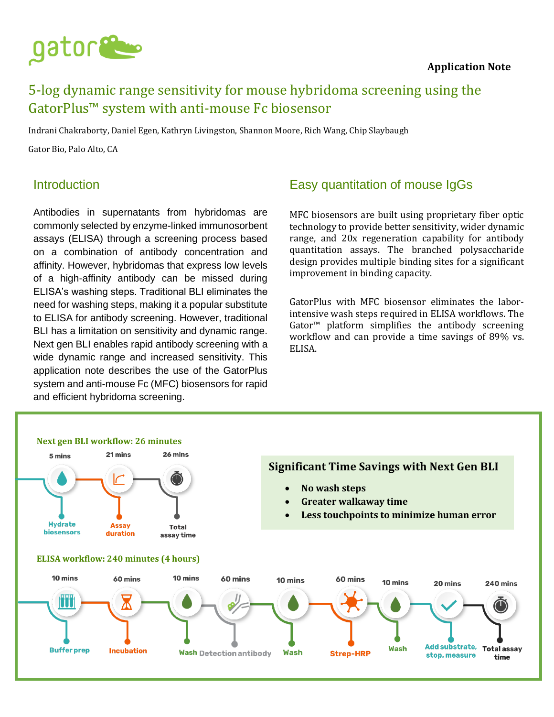

### **Application Note**

# 5-log dynamic range sensitivity for mouse hybridoma screening using the GatorPlus™ system with anti-mouse Fc biosensor

Indrani Chakraborty, Daniel Egen, Kathryn Livingston, Shannon Moore, Rich Wang, Chip Slaybaugh

Gator Bio, Palo Alto, CA

### Introduction

Antibodies in supernatants from hybridomas are commonly selected by enzyme-linked immunosorbent assays (ELISA) through a screening process based on a combination of antibody concentration and affinity. However, hybridomas that express low levels of a high-affinity antibody can be missed during ELISA's washing steps. Traditional BLI eliminates the need for washing steps, making it a popular substitute to ELISA for antibody screening. However, traditional BLI has a limitation on sensitivity and dynamic range. Next gen BLI enables rapid antibody screening with a wide dynamic range and increased sensitivity. This application note describes the use of the GatorPlus system and anti-mouse Fc (MFC) biosensors for rapid and efficient hybridoma screening.

# Easy quantitation of mouse IgGs

MFC biosensors are built using proprietary fiber optic technology to provide better sensitivity, wider dynamic range, and 20x regeneration capability for antibody quantitation assays. The branched polysaccharide design provides multiple binding sites for a significant improvement in binding capacity.

GatorPlus with MFC biosensor eliminates the laborintensive wash steps required in ELISA workflows. The Gator™ platform simplifies the antibody screening workflow and can provide a time savings of 89% vs. ELISA.

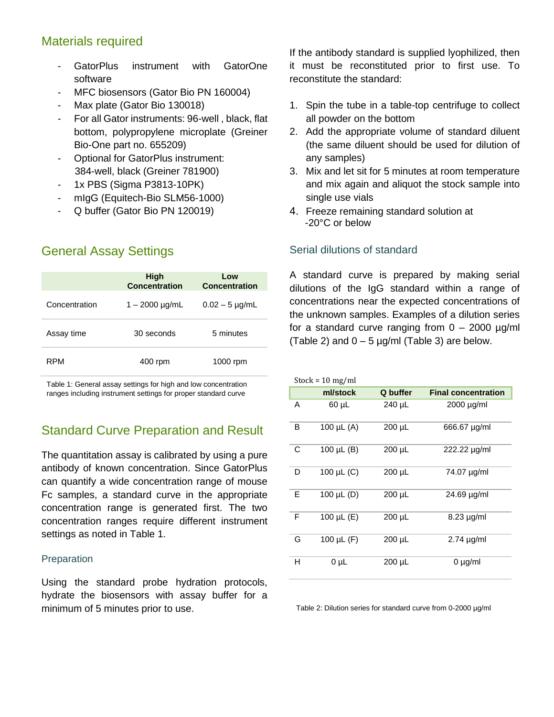# Materials required

- GatorPlus instrument with GatorOne software
- MFC biosensors (Gator Bio PN 160004)
- Max plate (Gator Bio 130018)
- For all Gator instruments: 96-well, black, flat bottom, polypropylene microplate (Greiner Bio-One part no. 655209)
- Optional for GatorPlus instrument: 384-well, black (Greiner 781900)
- 1x PBS (Sigma P3813-10PK)
- mIgG (Equitech-Bio SLM56-1000)
- Q buffer (Gator Bio PN 120019)

# General Assay Settings

|               | High<br><b>Concentration</b> | Low<br><b>Concentration</b> |
|---------------|------------------------------|-----------------------------|
| Concentration | $1 - 2000 \mu g/mL$          | $0.02 - 5 \mu$ g/mL         |
| Assay time    | 30 seconds                   | 5 minutes                   |
| RPM           | 400 rpm                      | 1000 rpm                    |

Table 1: General assay settings for high and low concentration ranges including instrument settings for proper standard curve

# Standard Curve Preparation and Result

The quantitation assay is calibrated by using a pure antibody of known concentration. Since GatorPlus can quantify a wide concentration range of mouse Fc samples, a standard curve in the appropriate concentration range is generated first. The two concentration ranges require different instrument settings as noted in Table 1.

#### **Preparation**

Using the standard probe hydration protocols, hydrate the biosensors with assay buffer for a minimum of 5 minutes prior to use.

If the antibody standard is supplied lyophilized, then it must be reconstituted prior to first use. To reconstitute the standard:

- 1. Spin the tube in a table-top centrifuge to collect all powder on the bottom
- 2. Add the appropriate volume of standard diluent (the same diluent should be used for dilution of any samples)
- 3. Mix and let sit for 5 minutes at room temperature and mix again and aliquot the stock sample into single use vials
- 4. Freeze remaining standard solution at -20°C or below

### Serial dilutions of standard

A standard curve is prepared by making serial dilutions of the IgG standard within a range of concentrations near the expected concentrations of the unknown samples. Examples of a dilution series for a standard curve ranging from  $0 - 2000 \mu g/ml$ (Table 2) and  $0 - 5 \mu g/ml$  (Table 3) are below.

| Stock = $10 \text{ mg/ml}$ |                   |          |                            |  |  |
|----------------------------|-------------------|----------|----------------------------|--|--|
|                            | ml/stock          | Q buffer | <b>Final concentration</b> |  |  |
| A                          | 60 µL             | 240 µL   | $2000 \mu g/ml$            |  |  |
| B                          | 100 $\mu$ L (A)   | 200 µL   | 666.67 µg/ml               |  |  |
| C                          | 100 $\mu$ L $(B)$ | 200 µL   | 222.22 µg/ml               |  |  |
| D                          | 100 µL (C)        | 200 µL   | 74.07 µg/ml                |  |  |
| E                          | 100 µL (D)        | 200 µL   | 24.69 µg/ml                |  |  |
| $\mathsf{F}$               | 100 µL (E)        | 200 µL   | $8.23 \mu g/ml$            |  |  |
| G                          | 100 µL (F)        | 200 µL   | $2.74 \mu g/ml$            |  |  |
| н                          | $0 \mu L$         | 200 µL   | $0 \mu g/ml$               |  |  |

Table 2: Dilution series for standard curve from 0-2000 µg/ml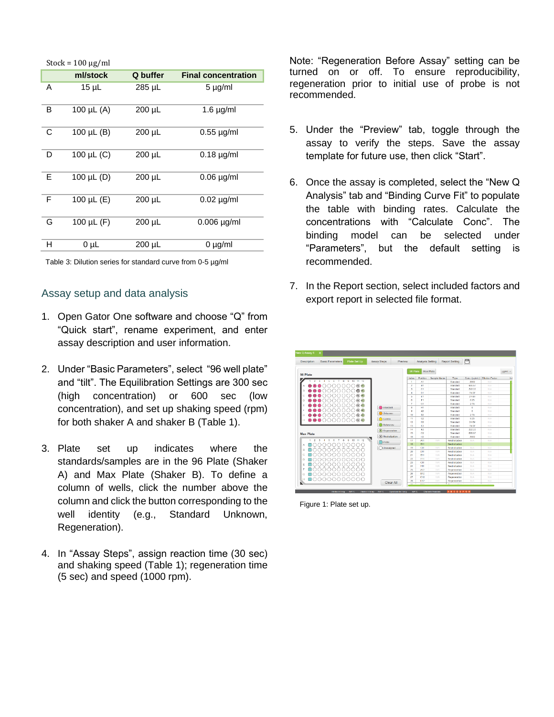| Q buffer<br><b>Final concentration</b><br>ml/stock<br>Α<br>$15 \mu L$<br>285 µL<br>$5 \mu g/ml$<br>в<br>100 µL (A)<br>$200 \mu L$<br>$1.6 \mu g/ml$<br>100 $\mu$ L $(B)$<br>С<br>$200 \mu L$<br>$0.55 \mu$ g/ml<br>D<br>100 µL (C)<br>$200 \mu L$<br>$0.18 \mu g/ml$<br>E<br>100 $\mu$ L (D)<br>200 µL<br>$0.06 \mu g/ml$ |
|---------------------------------------------------------------------------------------------------------------------------------------------------------------------------------------------------------------------------------------------------------------------------------------------------------------------------|
|                                                                                                                                                                                                                                                                                                                           |
|                                                                                                                                                                                                                                                                                                                           |
|                                                                                                                                                                                                                                                                                                                           |
|                                                                                                                                                                                                                                                                                                                           |
|                                                                                                                                                                                                                                                                                                                           |
|                                                                                                                                                                                                                                                                                                                           |
| F<br>100 µL (E)<br>$200 \mu L$<br>$0.02 \mu g/ml$                                                                                                                                                                                                                                                                         |
| G<br>100 $\mu$ L (F)<br>200 µL<br>$0.006$ µg/ml                                                                                                                                                                                                                                                                           |
| н<br>$200 \mu L$<br>0 µL<br>$0 \mu g/ml$                                                                                                                                                                                                                                                                                  |

Table 3: Dilution series for standard curve from 0-5 µg/ml

### Assay setup and data analysis

- 1. Open Gator One software and choose "Q" from "Quick start", rename experiment, and enter assay description and user information.
- 2. Under "Basic Parameters", select "96 well plate" and "tilt". The Equilibration Settings are 300 sec (high concentration) or 600 sec (low concentration), and set up shaking speed (rpm) for both shaker A and shaker B (Table 1).
- 3. Plate set up indicates where the standards/samples are in the 96 Plate (Shaker A) and Max Plate (Shaker B). To define a column of wells, click the number above the column and click the button corresponding to the well identity (e.g., Standard Unknown, Regeneration).
- 4. In "Assay Steps", assign reaction time (30 sec) and shaking speed (Table 1); regeneration time (5 sec) and speed (1000 rpm).

Note: "Regeneration Before Assay" setting can be turned on or off. To ensure reproducibility, regeneration prior to initial use of probe is not recommended.

- 5. Under the "Preview" tab, toggle through the assay to verify the steps. Save the assay template for future use, then click "Start".
- 6. Once the assay is completed, select the "New Q Analysis" tab and "Binding Curve Fit" to populate the table with binding rates. Calculate the concentrations with "Calculate Conc". The binding model can be selected under "Parameters", but the default setting is recommended.
- 7. In the Report section, select included factors and export report in selected file format.



Figure 1: Plate set up.